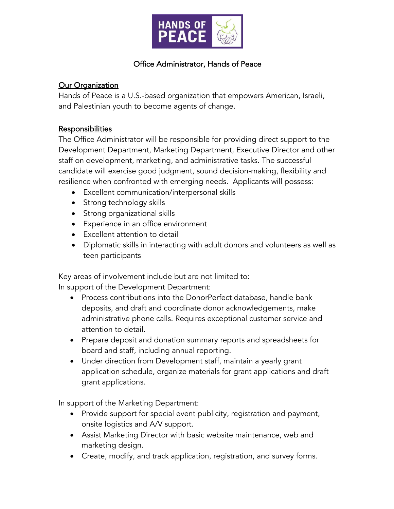

## Office Administrator, Hands of Peace

## **Our Organization**

Hands of Peace is a U.S.-based organization that empowers American, Israeli, and Palestinian youth to become agents of change.

## Responsibilities

The Office Administrator will be responsible for providing direct support to the Development Department, Marketing Department, Executive Director and other staff on development, marketing, and administrative tasks. The successful candidate will exercise good judgment, sound decision-making, flexibility and resilience when confronted with emerging needs. Applicants will possess:

- Excellent communication/interpersonal skills
- Strong technology skills
- Strong organizational skills
- Experience in an office environment
- Excellent attention to detail
- Diplomatic skills in interacting with adult donors and volunteers as well as teen participants

Key areas of involvement include but are not limited to:

In support of the Development Department:

- Process contributions into the DonorPerfect database, handle bank deposits, and draft and coordinate donor acknowledgements, make administrative phone calls. Requires exceptional customer service and attention to detail.
- Prepare deposit and donation summary reports and spreadsheets for board and staff, including annual reporting.
- Under direction from Development staff, maintain a yearly grant application schedule, organize materials for grant applications and draft grant applications.

In support of the Marketing Department:

- Provide support for special event publicity, registration and payment, onsite logistics and A/V support.
- Assist Marketing Director with basic website maintenance, web and marketing design.
- Create, modify, and track application, registration, and survey forms.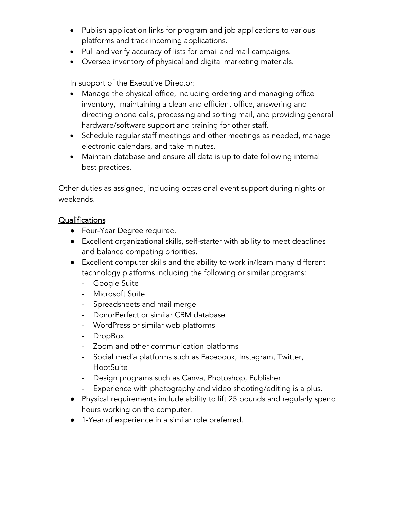- Publish application links for program and job applications to various platforms and track incoming applications.
- Pull and verify accuracy of lists for email and mail campaigns.
- Oversee inventory of physical and digital marketing materials.

In support of the Executive Director:

- Manage the physical office, including ordering and managing office inventory, maintaining a clean and efficient office, answering and directing phone calls, processing and sorting mail, and providing general hardware/software support and training for other staff.
- Schedule regular staff meetings and other meetings as needed, manage electronic calendars, and take minutes.
- Maintain database and ensure all data is up to date following internal best practices.

Other duties as assigned, including occasional event support during nights or weekends.

## Qualifications

- Four-Year Degree required.
- Excellent organizational skills, self-starter with ability to meet deadlines and balance competing priorities.
- Excellent computer skills and the ability to work in/learn many different technology platforms including the following or similar programs:
	- Google Suite
	- Microsoft Suite
	- Spreadsheets and mail merge
	- DonorPerfect or similar CRM database
	- WordPress or similar web platforms
	- DropBox
	- Zoom and other communication platforms
	- Social media platforms such as Facebook, Instagram, Twitter, HootSuite
	- Design programs such as Canva, Photoshop, Publisher
	- Experience with photography and video shooting/editing is a plus.
- Physical requirements include ability to lift 25 pounds and regularly spend hours working on the computer.
- 1-Year of experience in a similar role preferred.